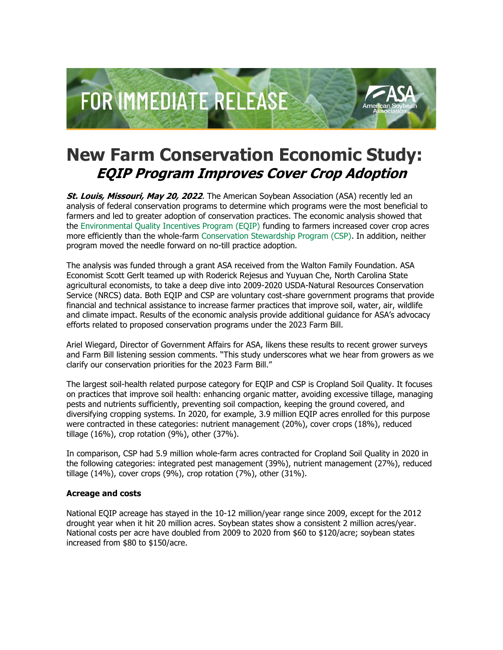

## **New Farm Conservation Economic Study: EQIP Program Improves Cover Crop Adoption**

**St. Louis, Missouri, May 20, 2022**. The American Soybean Association (ASA) recently led an analysis of federal conservation programs to determine which programs were the most beneficial to farmers and led to greater adoption of conservation practices. The economic analysis showed that the [Environmental Quality Incentives Program \(EQIP\)](http://asa.informz.net/z/cjUucD9taT0xMDU5OTgzNCZwPTEmdT0xMTQ0OTc2Mjg0JmxpPTk1MTMwMDk4/index.html) funding to farmers increased cover crop acres more efficiently than the whole-farm [Conservation Stewardship Program \(CSP\).](http://asa.informz.net/z/cjUucD9taT0xMDU5OTgzNCZwPTEmdT0xMTQ0OTc2Mjg0JmxpPTk1MTMwMDk5/index.html) In addition, neither program moved the needle forward on no-till practice adoption.

The analysis was funded through a grant ASA received from the Walton Family Foundation. ASA Economist Scott Gerlt teamed up with Roderick Rejesus and Yuyuan Che, North Carolina State agricultural economists, to take a deep dive into 2009-2020 USDA-Natural Resources Conservation Service (NRCS) data. Both EQIP and CSP are voluntary cost-share government programs that provide financial and technical assistance to increase farmer practices that improve soil, water, air, wildlife and climate impact. Results of the economic analysis provide additional guidance for ASA's advocacy efforts related to proposed conservation programs under the 2023 Farm Bill.

Ariel Wiegard, Director of Government Affairs for ASA, likens these results to recent grower surveys and Farm Bill listening session comments. "This study underscores what we hear from growers as we clarify our conservation priorities for the 2023 Farm Bill."

The largest soil-health related purpose category for EQIP and CSP is Cropland Soil Quality. It focuses on practices that improve soil health: enhancing organic matter, avoiding excessive tillage, managing pests and nutrients sufficiently, preventing soil compaction, keeping the ground covered, and diversifying cropping systems. In 2020, for example, 3.9 million EQIP acres enrolled for this purpose were contracted in these categories: nutrient management (20%), cover crops (18%), reduced tillage (16%), crop rotation (9%), other (37%).

In comparison, CSP had 5.9 million whole-farm acres contracted for Cropland Soil Quality in 2020 in the following categories: integrated pest management (39%), nutrient management (27%), reduced tillage (14%), cover crops (9%), crop rotation (7%), other (31%).

## **Acreage and costs**

National EQIP acreage has stayed in the 10-12 million/year range since 2009, except for the 2012 drought year when it hit 20 million acres. Soybean states show a consistent 2 million acres/year. National costs per acre have doubled from 2009 to 2020 from \$60 to \$120/acre; soybean states increased from \$80 to \$150/acre.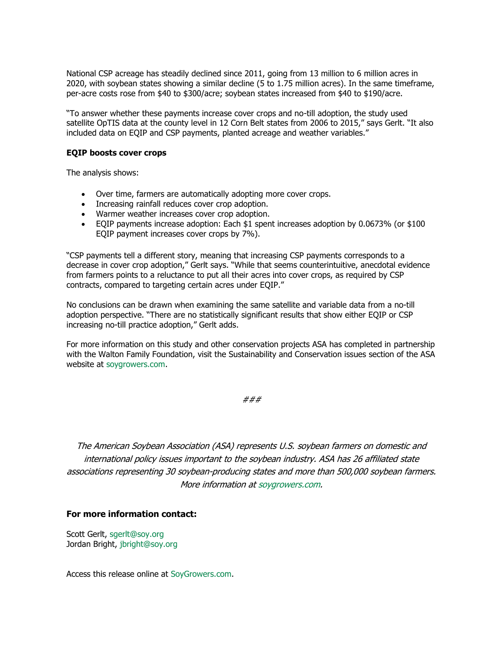National CSP acreage has steadily declined since 2011, going from 13 million to 6 million acres in 2020, with soybean states showing a similar decline (5 to 1.75 million acres). In the same timeframe, per-acre costs rose from \$40 to \$300/acre; soybean states increased from \$40 to \$190/acre.

"To answer whether these payments increase cover crops and no-till adoption, the study used satellite OpTIS data at the county level in 12 Corn Belt states from 2006 to 2015," says Gerlt. "It also included data on EQIP and CSP payments, planted acreage and weather variables."

## **EQIP boosts cover crops**

The analysis shows:

- Over time, farmers are automatically adopting more cover crops.
- Increasing rainfall reduces cover crop adoption.
- Warmer weather increases cover crop adoption.
- EQIP payments increase adoption: Each \$1 spent increases adoption by 0.0673% (or \$100 EQIP payment increases cover crops by 7%).

"CSP payments tell a different story, meaning that increasing CSP payments corresponds to a decrease in cover crop adoption," Gerlt says. "While that seems counterintuitive, anecdotal evidence from farmers points to a reluctance to put all their acres into cover crops, as required by CSP contracts, compared to targeting certain acres under EQIP."

No conclusions can be drawn when examining the same satellite and variable data from a no-till adoption perspective. "There are no statistically significant results that show either EQIP or CSP increasing no-till practice adoption," Gerlt adds.

For more information on this study and other conservation projects ASA has completed in partnership with the Walton Family Foundation, visit the Sustainability and Conservation issues section of the ASA website at [soygrowers.com.](http://asa.informz.net/z/cjUucD9taT0xMDU5OTgzNCZwPTEmdT0xMTQ0OTc2Mjg0JmxpPTk1MTMwMTAw/index.html)

###

The American Soybean Association (ASA) represents U.S. soybean farmers on domestic and international policy issues important to the soybean industry. ASA has 26 affiliated state associations representing 30 soybean-producing states and more than 500,000 soybean farmers. More information at [soygrowers.com.](http://asa.informz.net/z/cjUucD9taT0xMDU5OTgzNCZwPTEmdT0xMTQ0OTc2Mjg0JmxpPTk1MTMwMTAx/index.html)

## **For more information contact:**

Scott Gerlt, [sgerlt@soy.org](mailto:sgerlt@soy.org) Jordan Bright, [jbright@soy.org](mailto:jbright@soy.org)

Access this release online at [SoyGrowers.com.](http://asa.informz.net/z/cjUucD9taT0xMDU5OTgzNCZwPTEmdT0xMTQ0OTc2Mjg0JmxpPTk1MTMwMTAy/index.html)